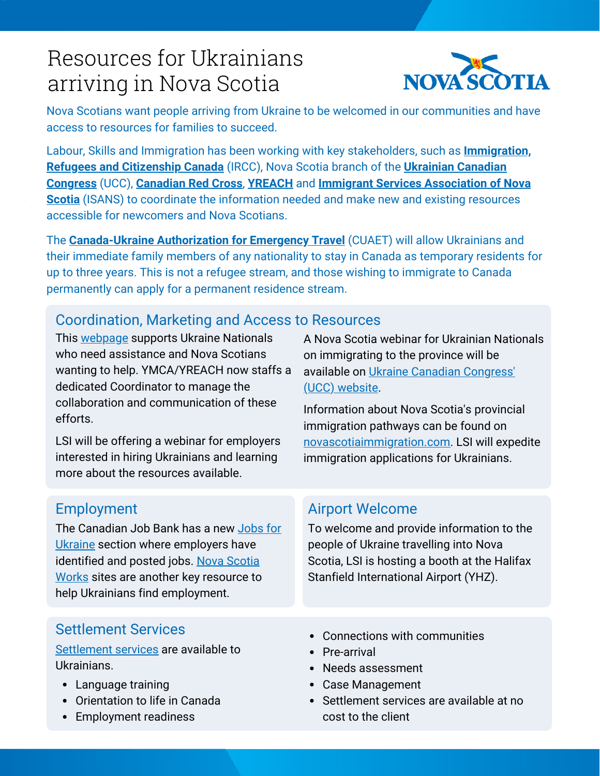# Resources for Ukrainians arriving in Nova Scotia



Nova Scotians want people arriving from Ukraine to be welcomed in our communities and have access to resources for families to succeed.

[Labour, Skills and Immigration has been working with key stakeholders, such as](https://www.canada.ca/en/immigration-refugees-citizenship.html) **Immigration, Refugees and Citizenship Canada** (IRCC), Nova Scotia branch of the **Ukrainian Canadian Congress** (UCC), **[Canadian Red Cross](https://www.redcross.ca/)**, **[YREACH](http://ymcahfx.ca/)** and **[Immigrant Services Association of N](https://www.ucc.ca/)ova Scotia** [\(ISANS\) to coordinate the information needed and make new and existing resources](https://isans.ca/) accessible for newcomers and Nova Scotians.

The **[Canada-Ukraine Authorization for Emergency Travel](https://www.canada.ca/en/immigration-refugees-citizenship/services/immigrate-canada/ukraine-measures/cuaet.html)** (CUAET) will allow Ukrainians and their immediate family members of any nationality to stay in Canada as temporary residents for up to three years. This is not a refugee stream, and those wishing to immigrate to Canada permanently can apply for a permanent residence stream.

#### Coordination, Marketing and Access to Resources

This [webpage](https://ymcahfx.ca/ns-supports-ukraine/) supports Ukraine Nationals who need assistance and Nova Scotians wanting to help. YMCA/YREACH now staffs a dedicated Coordinator to manage the collaboration and communication of these efforts.

LSI will be offering a webinar for employers interested in hiring Ukrainians and learning more about the resources available.

A Nova Scotia webinar for Ukrainian Nationals on immigrating to the province will be [available on Ukraine Canadian Congress'](https://www.ucc.ca/) (UCC) website.

Information about Nova Scotia's provincial immigration pathways can be found on [novascotiaimmigration.com.](https://novascotiaimmigration.com/) LSI will expedite immigration applications for Ukrainians.

[The Canadian Job Bank has a new Jobs for](https://www.jobbank.gc.ca/report_note.do?cid=18538) Ukraine section where employers have [identified and posted jobs. Nova Scotia](https://novascotiaworks.ca/nsdc/) Works sites are another key resource to help Ukrainians find employment.

### Employment **Airport Welcome**

To welcome and provide information to the people of Ukraine travelling into Nova [Scotia, LSI is hosting a booth at the Halifax](https://halifaxstanfield.ca/) Stanfield International Airport (YHZ).

#### Settlement Services

[Settlement services](https://novascotiaimmigration.com/live-here/settlement-providers/) are available to Ukrainians.

- Language training
- Orientation to life in Canada
- Employment readiness
- Connections with communities
- Pre-arrival
- Needs assessment
- Case Management
- Settlement services are available at no cost to the client